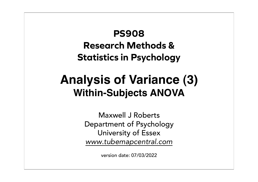# **PS908 Research Methods & Statistics in Psychology**

# **Analysis of Variance (3) Within-Subjects ANOVA**

Maxwell J Roberts Department of Psychology University of Essex *www.tubemapcentral.com*

version date: 07/03/2022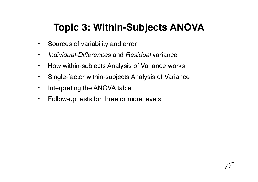# **Topic 3: Within-Subjects ANOVA**

- Sources of variability and error
- *Individual-Differences* and *Residual* variance
- How within-subjects Analysis of Variance works
- Single-factor within-subjects Analysis of Variance
- Interpreting the ANOVA table
- Follow-up tests for three or more levels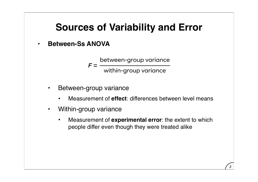### **• Between-Ss ANOVA**

 $F =$ between-group variance within-group variance

- Between-group variance
	- Measurement of **effect**: differences between level means
- Within-group variance
	- Measurement of **experimental error**: the extent to which people differ even though they were treated alike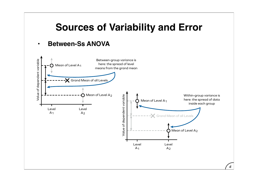#### **• Between-Ss ANOVA**

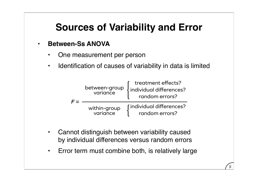#### **• Between-Ss ANOVA**

- One measurement per person
- Identification of causes of variability in data is limited



- Cannot distinguish between variability caused by individual differences versus random errors
- Error term must combine both, is relatively large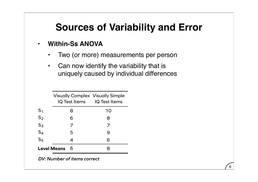### **• Within-Ss ANOVA**

- Two (or more) measurements per person
- Can now identify the variability that is uniquely caused by individual differences

|                    | <b>Visually Complex Visually Simple</b><br>IQ Test Items IQ Test Items |    |
|--------------------|------------------------------------------------------------------------|----|
| S <sub>1</sub>     | 8                                                                      | 10 |
| $S_2$              | 6                                                                      | 8  |
| $S_3$              | 7                                                                      | 7  |
| $S_4$              | 5                                                                      | 9  |
| S <sub>5</sub>     | 4                                                                      | 6  |
| <b>Level Means</b> |                                                                        |    |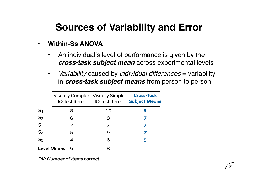### **• Within-Ss ANOVA**

- An individual's level of performance is given by the *cross-task subject mean* across experimental levels
- *Variability* caused by *individual differences* = variability in *cross-task subject means* from person to person

*7*

|                    | <b>Visually Complex Visually Simple</b> | IQ Test Items IQ Test Items | <b>Cross-Task</b><br><b>Subject Means</b> |
|--------------------|-----------------------------------------|-----------------------------|-------------------------------------------|
| $S_1$              | 8                                       | 10                          | 9                                         |
| S <sub>2</sub>     | 6                                       | 8                           |                                           |
| $S_3$              |                                         |                             |                                           |
| $S_4$              | 5                                       | 9                           |                                           |
| S <sub>5</sub>     | 4                                       | 6                           | 5                                         |
| <b>Level Means</b> | 6                                       |                             |                                           |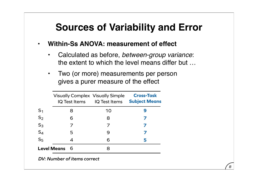- **• Within-Ss ANOVA: measurement of effect**
	- Calculated as before, *between-group variance*: the extent to which the level means differ but …
	- Two (or more) measurements per person gives a purer measure of the effect

|                    | <b>Visually Complex Visually Simple</b> | IQ Test Items IQ Test Items | <b>Cross-Task</b><br><b>Subject Means</b> |
|--------------------|-----------------------------------------|-----------------------------|-------------------------------------------|
| $S_1$              | 8                                       | 10                          | g                                         |
| S <sub>2</sub>     | 6                                       | 8                           |                                           |
| $S_3$              |                                         |                             |                                           |
| $S_4$              | 5                                       | 9                           |                                           |
| S <sub>5</sub>     | 4                                       | 6                           | 5                                         |
| <b>Level Means</b> | 6                                       |                             |                                           |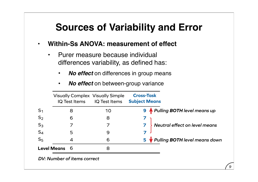- **• Within-Ss ANOVA: measurement of effect**
	- Purer measure because individual differences variability, as defined has:
		- *No effect* on differences in group means
		- *No effect* on between-group variance

|                    | <b>Visually Complex Visually Simple</b><br><b>IQ Test Items</b> | IQ Test Items | <b>Cross-Task</b><br><b>Subject Means</b> |
|--------------------|-----------------------------------------------------------------|---------------|-------------------------------------------|
|                    | 8                                                               | 10            | 9 <b>A</b> Pulling BOTH level means up    |
| $S_2$              | 6                                                               | 8             |                                           |
| $S_3$              |                                                                 |               | Neutral effect on level means             |
| $S_4$              | 5                                                               | 9             |                                           |
| S <sub>5</sub>     |                                                                 | 6             | 5 Pulling BOTH level means down           |
| <b>Level Means</b> | 6                                                               | 8             |                                           |
|                    | $\mathsf{D}(l, l)$ unkan af itanaa aannaat                      |               |                                           |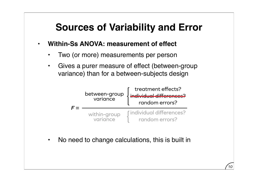- **• Within-Ss ANOVA: measurement of effect**
	- Two (or more) measurements per person
	- Gives a purer measure of effect (between-group variance) than for a between-subjects design



*10*

• No need to change calculations, this is built in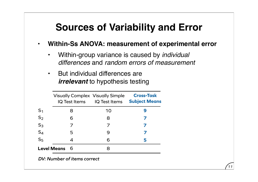**• Within-Ss ANOVA: measurement of experimental error**

*11*

- Within-group variance is caused by *individual differences* and *random errors of measurement*
- But individual differences are *irrelevant* to hypothesis testing

|                    | <b>Visually Complex Visually Simple</b> | IQ Test Items IQ Test Items | <b>Cross-Task</b><br><b>Subject Means</b> |
|--------------------|-----------------------------------------|-----------------------------|-------------------------------------------|
| $S_1$              | 8                                       | 10                          | g                                         |
| S <sub>2</sub>     | 6                                       | 8                           |                                           |
| $S_3$              |                                         |                             |                                           |
| $S_4$              | 5                                       | 9                           |                                           |
| S <sub>5</sub>     | 4                                       | 6                           | 5                                         |
| <b>Level Means</b> | 6                                       |                             |                                           |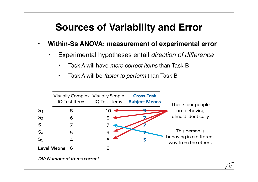- **• Within-Ss ANOVA: measurement of experimental error**
	- *•* Experimental hypotheses entail *direction of difference*
		- Task A will have *more correct items* than Task B
		- Task A will be *faster to perform* than Task B

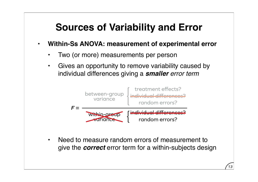- **• Within-Ss ANOVA: measurement of experimental error**
	- Two (or more) measurements per person
	- Gives an opportunity to remove variability caused by individual differences giving a *smaller error term*



• Need to measure random errors of measurement to give the *correct* error term for a within-subjects design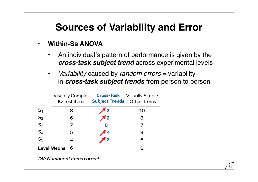### **• Within-Ss ANOVA**

- An individual's pattern of performance is given by the *cross-task subject trend* across experimental levels
- *Variability* caused by *random errors* = variability in *cross-task subject trends* from person to person

|                    | <b>Visually Complex</b><br><b>IQ Test Items</b> | <b>Subject Trends</b> IQ Test Items | <b>Cross-Task</b> Visually Simple |
|--------------------|-------------------------------------------------|-------------------------------------|-----------------------------------|
| S <sub>1</sub>     | 8                                               |                                     | 10                                |
| $S_2$              | 6                                               |                                     | 8                                 |
| $S_3$              |                                                 |                                     |                                   |
| $S_4$              | 5                                               |                                     | 9                                 |
| S <sub>5</sub>     |                                                 |                                     | 6                                 |
| <b>Level Means</b> |                                                 |                                     |                                   |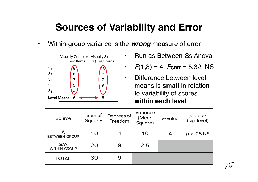**•** Within-group variance is the *wrong* measure of error



- **•** Run as Between-Ss Anova
- $F(1,8) = 4$ ,  $F_{\text{CRIT}} = 5.32$ , NS
- **•** Difference between level means is **small** in relation to variability of scores **within each level**

| Source                     | Sum of<br><b>Squares</b> | Degrees of<br>Freedom | Variance<br>(Mean<br>Square) | F-value | <i>p</i> -value<br>(sig. level) |
|----------------------------|--------------------------|-----------------------|------------------------------|---------|---------------------------------|
| <b>BETWEEN-GROUP</b>       | 10                       |                       | 10                           | 4       | $p > .05$ NS                    |
| S/A<br><b>WITHIN-GROUP</b> | 20                       | 8                     | 2.5                          |         |                                 |
| <b>TOTAL</b>               | 30                       | 9                     |                              |         |                                 |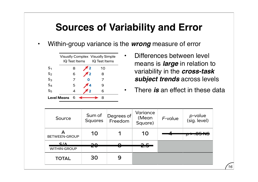**•** Within-group variance is the *wrong* measure of error

|                    | <b>Visually Complex Visually Simple</b><br>IQ Test Items<br>IQ Test Items |  |    |  |  |  |
|--------------------|---------------------------------------------------------------------------|--|----|--|--|--|
| ${\sf S}_1$        | 8                                                                         |  | 10 |  |  |  |
| S <sub>2</sub>     | 6                                                                         |  | 8  |  |  |  |
| $S_3$              |                                                                           |  |    |  |  |  |
| $S_4$              | 5                                                                         |  | g  |  |  |  |
| S <sub>5</sub>     |                                                                           |  | 6  |  |  |  |
| <b>Level Means</b> |                                                                           |  | R  |  |  |  |

**•** Differences between level means is *large* in relation to variability in the *cross-task subject trends* across levels

**•** There *is* an effect in these data

| Source                             | Sum of<br><b>Squares</b> | Degrees of<br>Freedom | Variance<br>(Mean<br>Square) | F-value | <i>p</i> -value<br>(sig. level)     |
|------------------------------------|--------------------------|-----------------------|------------------------------|---------|-------------------------------------|
| <b>BETWEEN-GROUP</b>               | 10                       |                       | 10                           |         | $\Omega$ $\Gamma$ $\Omega$ $\Omega$ |
| $S/\Lambda$<br><b>WITHIN-GROUP</b> | ∍≏<br>ZV                 | U                     | <del>2.5</del>               |         |                                     |
| <b>TOTAL</b>                       | 30                       | 9                     |                              |         |                                     |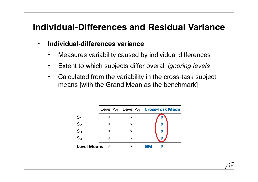- **• Individual-differences variance**
	- Measures variability caused by individual differences
	- Extent to which subjects differ overall *ignoring levels*
	- Calculated from the variability in the cross-task subject means [with the Grand Mean as the benchmark]

|                |  | Level $A_1$ Level $A_2$ Cross-Task Mean |
|----------------|--|-----------------------------------------|
| S <sub>1</sub> |  |                                         |
| $S_2$          |  | 7                                       |
| $S_3$<br>$S_4$ |  |                                         |
|                |  |                                         |
| Level Means ?  |  | <b>GM</b>                               |
|                |  |                                         |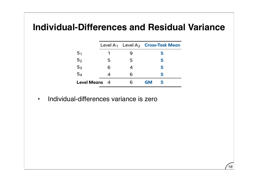|                      |   |   |           | Level $A_1$ Level $A_2$ Cross-Task Mean |
|----------------------|---|---|-----------|-----------------------------------------|
| S <sub>1</sub>       |   |   |           | 5                                       |
| $S_2$                | 5 | 5 |           | 5                                       |
| $S_3$                | 6 |   |           | 5                                       |
| $S_4$                |   | 6 |           | 5                                       |
| <b>Level Means</b> 4 |   |   | <b>GM</b> |                                         |

*18*

**•** Individual-differences variance is zero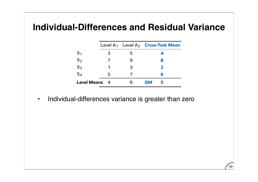|                      |   |   |           | Level $A_1$ Level $A_2$ Cross-Task Mean |
|----------------------|---|---|-----------|-----------------------------------------|
| S <sub>1</sub>       | 3 | 5 |           | Δ                                       |
| S <sub>2</sub>       |   | 9 |           | 8                                       |
| $S_3$                |   | 3 |           | $\overline{\mathbf{2}}$                 |
| $S_4$                | 5 |   |           | 6                                       |
| <b>Level Means</b> 4 |   |   | <b>GM</b> | 5                                       |

*19*

**•** Individual-differences variance is greater than zero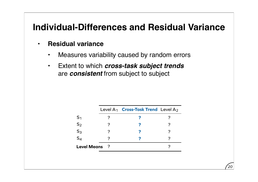- **• Residual variance**
	- Measures variability caused by random errors
	- Extent to which *cross-task subject trends*  are *consistent* from subject to subject

|                    |     | Level $A_1$ Cross-Task Trend Level $A_2$ |  |
|--------------------|-----|------------------------------------------|--|
| S <sub>1</sub>     |     |                                          |  |
| S <sub>2</sub>     |     |                                          |  |
| S <sub>3</sub>     |     |                                          |  |
| $S_4$              |     |                                          |  |
| <b>Level Means</b> | - 2 |                                          |  |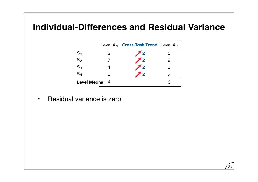|                      |   | Level $A_1$ Cross-Task Trend Level $A_2$ |   |
|----------------------|---|------------------------------------------|---|
| S <sub>1</sub>       | 3 | $\sqrt{2}$                               | 5 |
| $S_2$                |   | $\sqrt{2}$                               |   |
| $S_3$                |   | $\pi$ <sub>2</sub>                       | 3 |
| $S_4$                | 5 | / 2                                      |   |
| <b>Level Means</b> 4 |   |                                          |   |

**•** Residual variance is zero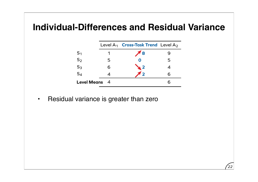|                    |                | Level $A_1$ Cross-Task Trend Level $A_2$ |   |
|--------------------|----------------|------------------------------------------|---|
| S <sub>1</sub>     |                | <b>8</b>                                 |   |
| $S_2$              | 5              |                                          | 5 |
| $S_3$<br>$S_4$     | 6              | $\sqrt{2}$                               |   |
|                    |                | $\overline{\mathbf{2}}$                  | 6 |
| <b>Level Means</b> | $\overline{4}$ |                                          |   |

**•** Residual variance is greater than zero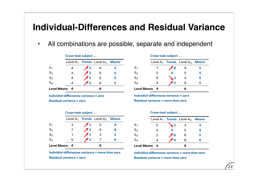**•** All combinations are possible, separate and independent

|                    | Cross-task subject |                    |                                      |   |
|--------------------|--------------------|--------------------|--------------------------------------|---|
|                    |                    |                    | Level $A_1$ Trends Level $A_2$ Means |   |
| S <sub>1</sub>     |                    | $\pi$ 2            | 6                                    |   |
| $S_2$              | 4                  | $\pi$ <sub>2</sub> | -6                                   | 5 |
| $S_3$              |                    | $\pi$ <sub>2</sub> | 6                                    | 5 |
| $S_4$              |                    | $^{\prime}$ 2      | 6                                    |   |
| <b>Level Means</b> |                    |                    |                                      |   |

**Individial-differences variance = zero Residual variance = zero**

**Cross-task subject …**

|                    | Cross-task subject |                    |                                      |                |
|--------------------|--------------------|--------------------|--------------------------------------|----------------|
|                    |                    |                    | Level $A_1$ Trends Level $A_2$ Means |                |
| $S_1$<br>$S_2$     | 3                  | 72                 | -5                                   |                |
|                    |                    | $\pi$ <sub>2</sub> | 9                                    | 8              |
| $S_3$              |                    | $\pi$ <sub>2</sub> | $\overline{\mathbf{3}}$              | $\overline{2}$ |
| $S_4$              | 5                  | $^{\prime}$ 2      |                                      | 6              |
| <b>Level Means</b> | -4                 |                    | 6                                    |                |

**Individial-differences variance = more than zero Residual variance = zero**

#### **Cross-task subject …**

|                      |   |                    | Level $A_1$ Trends Level $A_2$ Means |   |
|----------------------|---|--------------------|--------------------------------------|---|
| S <sub>1</sub>       |   | 78                 |                                      | 5 |
| $S_2$                | 5 | Ο                  | 5                                    | 5 |
| $S_3$                | 6 | $\blacktriangle$ 2 |                                      | 5 |
| $S_4$                |   | $\overline{2}$     | 6                                    | 5 |
| <b>Level Means</b> 4 |   |                    |                                      |   |

**Individial-differences variance = zero Residual variance = more than zero**

#### **Cross-task subject …**

|                      |   |            | Level $A_1$ Trends Level $A_2$ Means |   |
|----------------------|---|------------|--------------------------------------|---|
| S <sub>1</sub>       | 5 | $\sqrt{2}$ | З                                    |   |
| $S_2$                | 5 |            | 5                                    | 5 |
| $S_3$<br>$S_4$       | 2 | 6          | 8                                    | 5 |
|                      |   | 4          | 8                                    | 6 |
| <b>Level Means</b> 4 |   |            |                                      |   |

**Individial-differences variance = more than zero Residual variance = more than zero**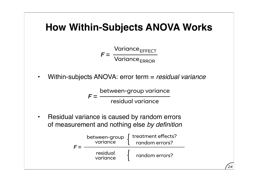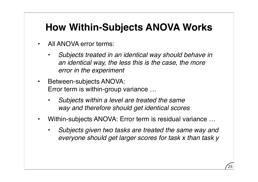- All ANOVA error terms:
	- *Subjects treated in an identical way should behave in an identical way, the less this is the case, the more error in the experiment*
- Between-subjects ANOVA: Error term is within-group variance …
	- *Subjects within a level are treated the same way and therefore should get identical scores*
- Within-subjects ANOVA: Error term is residual variance …
	- *Subjects given two tasks are treated the same way and everyone should get larger scores for task x than task y*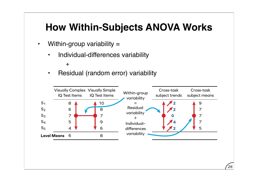- Within-group variability =
	- Individual-differences variability

• Residual (random error) variability



 $+$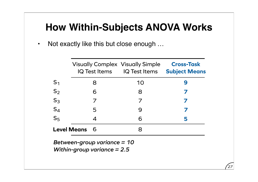• Not exactly like this but close enough ...

|                                                                |   | <b>Visually Complex Visually Simple</b><br>IQ Test Items IQ Test Items | <b>Cross-Task</b><br><b>Subject Means</b> |  |  |
|----------------------------------------------------------------|---|------------------------------------------------------------------------|-------------------------------------------|--|--|
| S <sub>1</sub>                                                 | 8 | 10                                                                     | 9                                         |  |  |
| S <sub>2</sub>                                                 | 6 | 8                                                                      |                                           |  |  |
| $S_3$                                                          | 7 | 7                                                                      |                                           |  |  |
| $S_4$                                                          | 5 | 9                                                                      |                                           |  |  |
| S <sub>5</sub>                                                 | 4 | 6                                                                      | 5                                         |  |  |
| <b>Level Means</b>                                             | 6 | 8                                                                      |                                           |  |  |
| Between-group variance $= 10$<br>Within-group variance $= 2.5$ |   |                                                                        |                                           |  |  |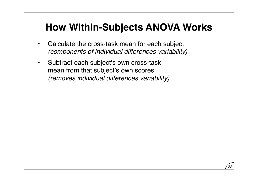- Calculate the cross-task mean for each subject *(components of individual differences variability)*
- Subtract each subject's own cross-task mean from that subject's own scores *(removes individual differences variability)*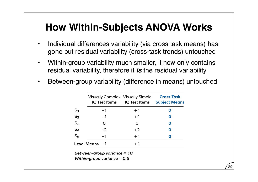- Individual differences variability (via cross task means) has gone but residual variability (cross-task trends) untouched
- Within-group variability much smaller, it now only contains residual variability, therefore it *is* the residual variability
- Between-group variability (difference in means) untouched

|                                                                | <b>Visually Complex Visually Simple</b> | IQ Test Items IQ Test Items | <b>Cross-Task</b><br><b>Subject Means</b> |  |
|----------------------------------------------------------------|-----------------------------------------|-----------------------------|-------------------------------------------|--|
| S <sub>1</sub>                                                 | $-1$                                    | $+1$                        | O                                         |  |
| $S_2$                                                          | $-1$                                    | $+1$                        | O                                         |  |
| $S_3$                                                          | O                                       | O                           | O                                         |  |
| $S_4$                                                          | $-2$                                    | $+2$                        | 0                                         |  |
| S <sub>5</sub>                                                 | $-1$                                    | $+1$                        | O                                         |  |
|                                                                | Level Means $-1$                        | $+1$                        |                                           |  |
| Between-group variance $= 10$<br>Within-group variance $= 0.5$ |                                         |                             |                                           |  |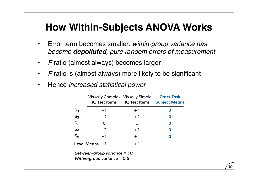- Error term becomes smaller: *within-group variance has become depolluted, pure random errors of measurement*
- *F* ratio (almost always) becomes larger
- *F* ratio is (almost always) more likely to be significant
- Hence *increased statistical power*

|                               | <b>Visually Complex Visually Simple</b> | IQ Test Items IQ Test Items | <b>Cross-Task</b><br><b>Subject Means</b> |  |  |
|-------------------------------|-----------------------------------------|-----------------------------|-------------------------------------------|--|--|
| S <sub>1</sub>                | $-1$                                    | $+1$                        | O                                         |  |  |
| $S_2$                         | $-1$                                    | $+1$                        | O                                         |  |  |
| $S_3$                         | O                                       | O                           | O                                         |  |  |
| $S_4$                         | $-2$                                    | $+2$                        | O                                         |  |  |
| S <sub>5</sub>                | -1                                      | $+1$                        | Ω                                         |  |  |
|                               | Level Means $-1$                        | $+1$                        |                                           |  |  |
| Between-group variance $= 10$ |                                         |                             |                                           |  |  |

*Within-group variance = 0.5*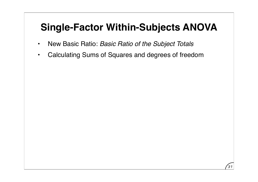- New Basic Ratio: *Basic Ratio of the Subject Totals*
- Calculating Sums of Squares and degrees of freedom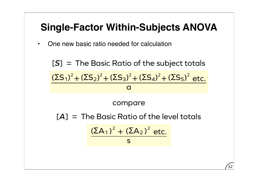• One new basic ratio needed for calculation

[*A*] = The Basic Ratio of the level totals [*S*] = The Basic Ratio of the subject totals compare **a**  $(\Sigma S_1)^2 + (\Sigma S_2)^2 + (\Sigma S_3)^2 + (\Sigma S_4)^2 + (\Sigma S_5)^2$  etc. s  $(\Sigma A_1)^2 + (\Sigma A_2)^2$  etc.

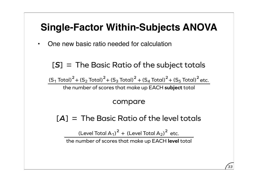• One new basic ratio needed for calculation

[*S*] = The Basic Ratio of the subject totals

 $( S_1$  Total)<sup>2</sup> +  $( S_2$  Total)<sup>2</sup> +  $( S_3$  Total)<sup>2</sup> +  $( S_4$  Total)<sup>2</sup> +  $( S_5$  Total)<sup>2</sup> etc.

the number of scores that make up EACH **subject** total

#### compare

[*A*] = The Basic Ratio of the level totals

 $($ Level Total A<sub>1</sub> $)^2$  + (Level Total A<sub>2</sub> $)^2$  etc.

the number of scores that make up EACH **level** total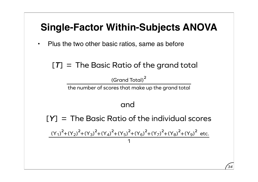• Plus the two other basic ratios, same as before

## [*T*] = The Basic Ratio of the grand total

**<sup>2</sup>** (Grand Total)

the number of scores that make up the grand total

### and

[*Y*] = The Basic Ratio of the individual scores

1  $(Y_1)^2 + (Y_2)^2 + (Y_3)^2 + (Y_4)^2 + (Y_5)^2 + (Y_6)^2 + (Y_7)^2 + (Y_8)^2 + (Y_9)^2$  etc.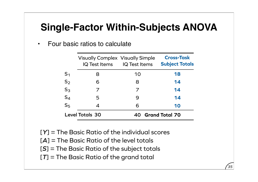| Four basic ratios to calculate |  |
|--------------------------------|--|
|--------------------------------|--|

|                | <b>Visually Complex Visually Simple</b><br>IQ Test Items IQ Test Items |                   | <b>Cross-Task</b><br><b>Subject Totals</b> |
|----------------|------------------------------------------------------------------------|-------------------|--------------------------------------------|
| $\mathsf{S}_1$ | 8                                                                      | 10                | 18                                         |
| $\mathsf{S}_2$ | 6                                                                      | 8                 | 14                                         |
| $\mathsf{S}_3$ |                                                                        | 7                 | 14                                         |
| $\mathsf{S}_4$ | 5                                                                      | 9                 | 14                                         |
| $S_5$          | 4                                                                      | 6                 | 10                                         |
|                | <b>Level Totals 30</b>                                                 | 40 Grand Total 70 |                                            |

*35*

[*Y*] = The Basic Ratio of the individual scores

- [*A*] = The Basic Ratio of the level totals
- [*S*] = The Basic Ratio of the subject totals
- [*T*] = The Basic Ratio of the grand total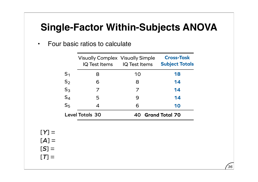• Four basic ratios to calculate

|                        | <b>Visually Complex Visually Simple</b><br>IQ Test Items | <b>IQ Test Items</b>        | <b>Cross-Task</b><br><b>Subject Totals</b> |
|------------------------|----------------------------------------------------------|-----------------------------|--------------------------------------------|
| S <sub>1</sub>         | 8                                                        | 10                          | 18                                         |
| $S_2$                  | 6                                                        | 8                           | 14                                         |
| $S_3$                  | 7                                                        | 7                           | 14                                         |
| $S_4$                  | 5                                                        | 9                           | 14                                         |
| S <sub>5</sub>         | 4                                                        | 6                           | 10                                         |
| <b>Level Totals 30</b> |                                                          | <b>Grand Total 70</b><br>40 |                                            |

$$
[Y] =
$$

$$
[A] =
$$

$$
[S] =
$$

$$
[T] =
$$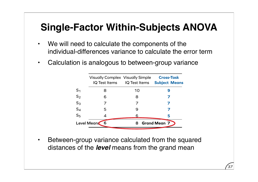- We will need to calculate the components of the individual-differences variance to calculate the error term
- Calculation is analogous to between-group variance

|                | <b>Visually Complex Visually Simple</b> | IQ Test Items IQ Test Items | <b>Cross-Task</b><br><b>Subject Means</b> |
|----------------|-----------------------------------------|-----------------------------|-------------------------------------------|
| S <sub>1</sub> | 8                                       | 10                          | 9                                         |
| $S_2$          | 6                                       | 8                           |                                           |
| $S_3$          |                                         |                             |                                           |
| $S_4$          | 5                                       | 9                           |                                           |
| S <sub>5</sub> |                                         | 6                           | 5                                         |
| Level Means    | 6                                       | 8                           | <b>Grand Mean 7</b>                       |

*37*

Between-group variance calculated from the squared distances of the *level* means from the grand mean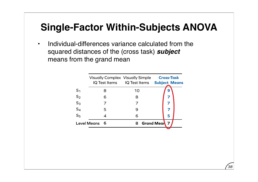• Individual-differences variance calculated from the squared distances of the (cross task) *subject* means from the grand mean

|                    | <b>Visually Complex Visually Simple</b> | IQ Test Items IQ Test Items | <b>Cross-Task</b><br><b>Subject Means</b> |
|--------------------|-----------------------------------------|-----------------------------|-------------------------------------------|
| S <sub>1</sub>     | 8                                       | 10                          | 9                                         |
| S <sub>2</sub>     | 6                                       | 8                           | 7                                         |
| $S_3$              |                                         | 7                           | 7                                         |
| $S_4$<br>$S_5$     | 5                                       | 9                           | 7                                         |
|                    |                                         | 6                           | 5                                         |
| <b>Level Means</b> | 6                                       | 8 Grand Mean                | 7                                         |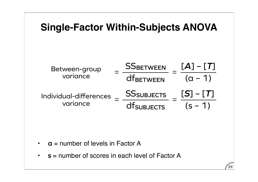

- **a** = number of levels in Factor A
- **s** = number of scores in each level of Factor A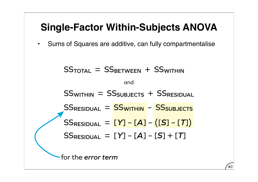• Sums of Squares are additive, can fully compartmentalise

$$
SS_{\text{TOTAL}} = SS_{\text{BETWEEN}} + SS_{\text{WITHIN}}
$$
\n
$$
= SS_{\text{SUSJECTS}} + SS_{\text{RESIDUAL}}
$$
\n
$$
SS_{\text{RESIDUAL}} = SS_{\text{WITHIN}} - SS_{\text{SUSJECTS}}
$$
\n
$$
SS_{\text{RESIDUAL}} = [Y] - [A] - ([S] - [T])
$$
\n
$$
SS_{\text{RESIDUAL}} = [Y] - [A] - [S] + [T]
$$
\n
$$
= \text{for the error term}
$$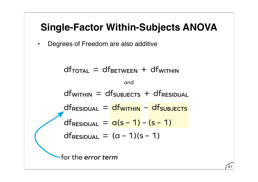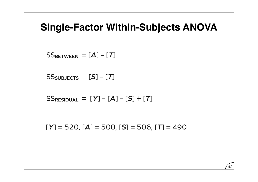$SS<sub>BETWEEN</sub> = [A] - [T]$ 

```
SSSSSUBJECTS = [S] – [T]
```
 $SS$ RESIDUAL =  $[Y] - [A] - [S] + [T]$ 

 $[Y] = 520$ ,  $[A] = 500$ ,  $[S] = 506$ ,  $[T] = 490$ 

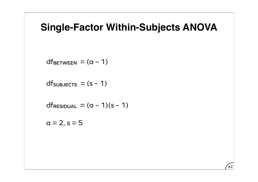SS**BETWEEN** = df**BETWEEN** = (a – 1)

df<sub>subJECTS</sub> = (s - 1)

SS**TOTAL** = df**RESIDUAL** = (a – 1)(s – 1)

 $a = 2, s = 5$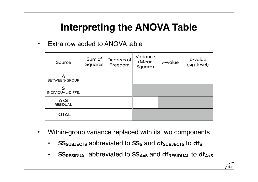• Extra row added to ANOVA table

| Source                        | Sum of<br><b>Squares</b> | Degrees of<br>Freedom | Variance<br>(Mean<br>Square) | $F$ -value | p-value<br>(sig. level) |
|-------------------------------|--------------------------|-----------------------|------------------------------|------------|-------------------------|
| <b>BETWEEN-GROUP</b>          |                          |                       |                              |            |                         |
| S<br>INDIVIDUAL-DIFFS.        |                          |                       |                              |            |                         |
| <b>AxS</b><br><b>RESIDUAL</b> |                          |                       |                              |            |                         |
| <b>TOTAL</b>                  |                          |                       |                              |            |                         |

- Within-group variance replaced with its two components
	- **SS**SUBJECTS abbreviated to SS<sub>S</sub> and df<sub>SUBJECTS</sub> to dfs
	- **SS**RESIDUAL abbreviated to SS<sub>AxS</sub> and df<sub>RESIDUAL</sub> to df<sub>AxS</sub>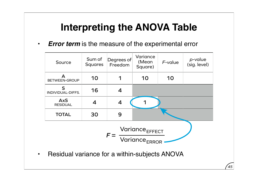• *Error term* is the measure of the experimental error

| Source                                                                   | Sum of<br><b>Squares</b> | Degrees of<br>Freedom | Variance<br>(Mean<br>Square) | F-value | p-value<br>(sig. level) |  |
|--------------------------------------------------------------------------|--------------------------|-----------------------|------------------------------|---------|-------------------------|--|
| A<br><b>BETWEEN-GROUP</b>                                                | 10                       | 1                     | 10                           | 10      |                         |  |
| S<br>INDIVIDUAL-DIFFS.                                                   | 16                       | 4                     |                              |         |                         |  |
| <b>AxS</b><br><b>RESIDUAL</b>                                            | $\boldsymbol{4}$         | 4                     |                              |         |                         |  |
| <b>TOTAL</b>                                                             | 30                       | 9                     |                              |         |                         |  |
| $\frac{\text{Variance}_{\text{EFFECT}}}{\text{Variance}_{\text{ERROR}}}$ |                          |                       |                              |         |                         |  |
| Residual variance for a within-subjects ANOVA                            |                          |                       |                              |         |                         |  |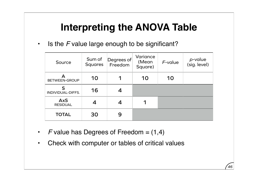• Is the *F* value large enough to be significant?

| Source                        | Sum of<br><b>Squares</b> | Degrees of<br>Freedom | Variance<br>(Mean<br>Square) | $F$ -value | p-value<br>(sig. level) |
|-------------------------------|--------------------------|-----------------------|------------------------------|------------|-------------------------|
| А<br><b>BETWEEN-GROUP</b>     | 10                       | 1                     | 10                           | 10         |                         |
| S<br>INDIVIDUAL-DIFFS.        | 16                       |                       |                              |            |                         |
| <b>AxS</b><br><b>RESIDUAL</b> | 4                        |                       | 1                            |            |                         |
| <b>TOTAL</b>                  | 30                       | 9                     |                              |            |                         |

- $F$  value has Degrees of Freedom  $= (1,4)$
- Check with computer or tables of critical values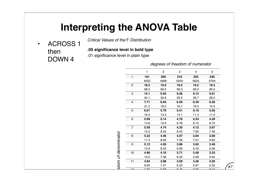• ACROSS 1 then DOWN 4

*Critical Values of the* F *Distribution*

**.05 significance level in bold type**

.01 significance level in plain type

*degrees of freedom of numerator*

PS908 Test 2 [Specimen]

|                         | 1     | 2    | 3        | 4    | 5           |
|-------------------------|-------|------|----------|------|-------------|
| 1                       | 161   | 200  | 216      | 225  | 230         |
|                         | 4052  | 4999 | 5403     | 5625 | 5764        |
| $\boldsymbol{2}$        | 18.5  | 19.0 | 19.2     | 19.2 | 19.3        |
|                         | 98.5  | 99.0 | 99.2     | 99.2 | 99.3        |
| 3                       | 10.1  | 9.55 | 9.28     | 9.12 | 9.01        |
|                         | 34.1  | 30.8 | 29.5     | 28.7 | 28.2        |
| $\overline{\mathbf{4}}$ | 7.71  | 6.94 | 6.59     | 6.39 | 6.26        |
|                         | 21.2  | 18.0 | 16.7     | 16.0 | 15.5        |
| 5                       | 6.61  | 5.79 | 5.41     | 5.19 | 5.05        |
|                         | 16.3  | 13.3 | 12.1     | 11.4 | 11.0        |
| 6                       | 5.99  | 5.14 | 4.76     | 4.53 | 4.39        |
|                         | 13.8  | 10.9 | 9.78     | 9.15 | 8.75        |
| $\overline{7}$          | 5.59  | 4.74 | 4.35     | 4.12 | 3.97        |
|                         | 12.2  | 9.55 | 8.45     | 7.85 | 7.46        |
| 8                       | 5.32  | 4.46 | 4.07     | 3.84 | 3.69        |
|                         | 11.3  | 8.65 | 7.59     | 7.01 | 6.63        |
| $\boldsymbol{9}$        | 5.12  | 4.26 | 3.86     | 3.63 | 3.48        |
|                         | 10.6  | 8.02 | 6.99     | 6.42 | 6.06        |
| 10                      | 4.96  | 4.10 | 3.71     | 3.48 | 3.33        |
|                         | 10.0  | 7.56 | 6.55     | 5.99 | 5.64        |
| 11                      | 4.84  | 3.98 | 3.59     | 3.36 | 3.20        |
|                         | 9.65  | 7.21 | 6.22     | 5.67 | 5.32        |
|                         | $-75$ | പ്പ  | <u>n</u> | مہ ہ | <b>O</b> 44 |
|                         | 9.33  | 6.93 | 5.95     | 5.41 | 5.06        |
| 13                      | 4.67  | 3.81 | 3.41     | 3.18 | 3.03        |
|                         |       |      |          |      |             |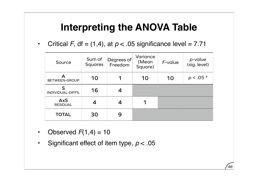• Critical *F*, df = (1,4), at  $p < .05$  significance level = 7.71

| Source                        | Sum of<br><b>Squares</b> | Degrees of<br>Freedom | Variance<br>(Mean<br>Square) | F-value | p-value<br>(sig. level) |
|-------------------------------|--------------------------|-----------------------|------------------------------|---------|-------------------------|
| <b>BETWEEN-GROUP</b>          | 10                       |                       | 10                           | 10      | $p < .05*$              |
| S<br>INDIVIDUAL-DIFFS.        | 16                       |                       |                              |         |                         |
| <b>AxS</b><br><b>RESIDUAL</b> | 4                        |                       |                              |         |                         |
| <b>TOTAL</b>                  | 30                       | 9                     |                              |         |                         |

- Observed  $F(1,4) = 10$
- Significant effect of item type, *p* < .05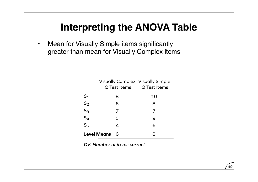• Mean for Visually Simple items significantly greater than mean for Visually Complex items

|                    | <b>Visually Complex Visually Simple</b><br>IQ Test Items IQ Test Items |    |
|--------------------|------------------------------------------------------------------------|----|
| $S_1$              | 8                                                                      | 10 |
| S <sub>2</sub>     | 6                                                                      | 8  |
| $S_3$<br>$S_4$     | 7                                                                      | 7  |
|                    | 5                                                                      | 9  |
| S <sub>5</sub>     | 4                                                                      | 6  |
| <b>Level Means</b> |                                                                        |    |

*DV: Number of items correct*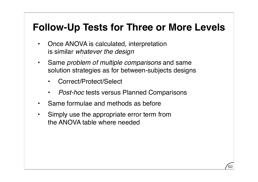- Once ANOVA is calculated, interpretation is similar *whatever the design*
- Same *problem of multiple comparisons* and same solution strategies as for between-subjects designs
	- Correct/Protect/Select
	- *Post-hoc* tests versus Planned Comparisons
- Same formulae and methods as before
- Simply use the appropriate error term from the ANOVA table where needed

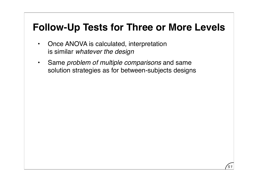- Once ANOVA is calculated, interpretation is similar *whatever the design*
- Same *problem of multiple comparisons* and same solution strategies as for between-subjects designs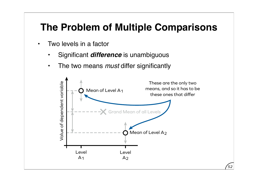# **The Problem of Multiple Comparisons**

- Two levels in a factor
	- Significant *difference* is unambiguous
	- The two means *must* differ significantly

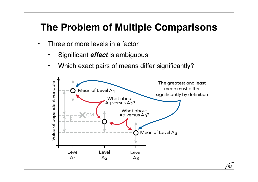## **The Problem of Multiple Comparisons**

- Three or more levels in a factor
	- Significant *effect* is ambiguous
	- Which exact pairs of means differ significantly?

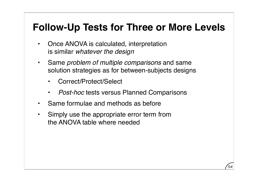- Once ANOVA is calculated, interpretation is similar *whatever the design*
- Same *problem of multiple comparisons* and same solution strategies as for between-subjects designs
	- Correct/Protect/Select
	- *Post-hoc* tests versus Planned Comparisons
- Same formulae and methods as before
- Simply use the appropriate error term from the ANOVA table where needed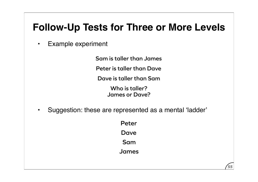• Example experiment

**Sam is taller than James**

**Peter is taller than Dave**

**Dave is taller than Sam**

**Who is taller? James or Dave?**

• Suggestion: these are represented as a mental ʻladder'

**Peter Dave Sam James**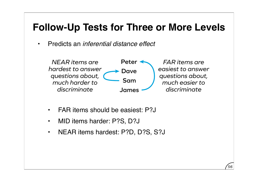• Predicts an *inferential distance effect*



- FAR items should be easiest: P?J
- MID items harder: P?S, D?J
- NEAR items hardest: P?D, D?S, S?J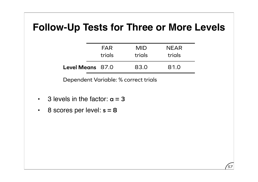|                         | FAR<br>trials | <b>MID</b><br>trials | <b>NEAR</b><br>trials |  |
|-------------------------|---------------|----------------------|-----------------------|--|
| <b>Level Means</b> 87.0 |               | 83.0                 | 81.0                  |  |

*57*

Dependent Variable: % correct trials

- $\cdot$  3 levels in the factor:  $a = 3$
- 8 scores per level: **s = 8**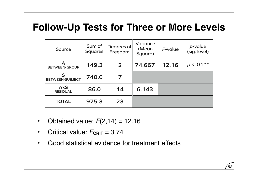| Source                        | Sum of<br><b>Squares</b> | Degrees of<br>Freedom | Variance<br>(Mean<br>Square) | $F$ -value | p-value<br>(sig. level) |
|-------------------------------|--------------------------|-----------------------|------------------------------|------------|-------------------------|
| А<br><b>BETWEEN-GROUP</b>     | 149.3                    | $\overline{2}$        | 74.667                       | 12.16      | $p < .01**$             |
| S<br><b>BETWEEN-SUBJECT</b>   | 740.0                    |                       |                              |            |                         |
| <b>AxS</b><br><b>RESIDUAL</b> | 86.0                     | 14                    | 6.143                        |            |                         |
| <b>TOTAL</b>                  | 975.3                    | 23                    |                              |            |                         |

- Obtained value:  $F(2, 14) = 12.16$
- Critical value:  $F_{\text{CRIT}} = 3.74$
- Good statistical evidence for treatment effects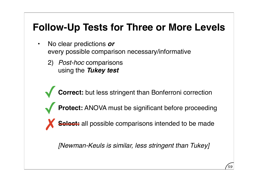- No clear predictions *or* every possible comparison necessary/informative
	- 2) *Post-hoc* comparisons using the *Tukey test*

**Correct:** but less stringent than Bonferroni correction

- **Protect:** ANOVA must be significant before proceeding
- **Select:** all possible comparisons intended to be made

*[Newman-Keuls is similar, less stringent than Tukey]*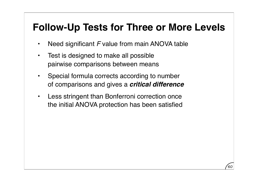- Need significant *F* value from main ANOVA table
- Test is designed to make all possible pairwise comparisons between means
- Special formula corrects according to number of comparisons and gives a *critical difference*
- Less stringent than Bonferroni correction once the initial ANOVA protection has been satisfied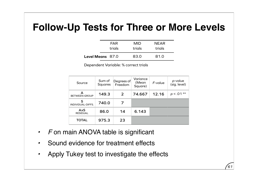|                         | FAR<br>trials | MID<br>trials | <b>NEAR</b><br>trials |  |
|-------------------------|---------------|---------------|-----------------------|--|
| <b>Level Means</b> 87.0 |               | 83.0          | 81.0                  |  |

Dependent Variable: % correct trials

| Source                        | Sum of<br><b>Squares</b> | Degrees of<br>Freedom | Variance<br>(Mean<br>Square) | $F$ -value | p-value<br>(sig. level) |
|-------------------------------|--------------------------|-----------------------|------------------------------|------------|-------------------------|
| А<br><b>BETWEEN-GROUP</b>     | 149.3                    | $\overline{2}$        | 74.667                       | 12.16      | $p < .01**$             |
| S<br>INDIVIDUAL-DIFFS.        | 740.0                    | 7                     |                              |            |                         |
| <b>AxS</b><br><b>RESIDUAL</b> | 86.0                     | 14                    | 6.143                        |            |                         |
| <b>TOTAL</b>                  | 975.3                    | 23                    |                              |            |                         |

- *• F* on main ANOVA table is significant
- *•* Sound evidence for treatment effects
- *•* Apply Tukey test to investigate the effects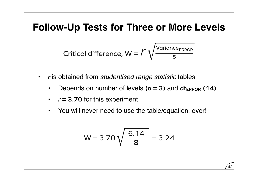$$
Critical difference, W = \Gamma \sqrt{\frac{Variance_{ERROR}}{S}}
$$

- *• r* is obtained from *studentised range statistic* tables
	- **•** Depends on number of levels  $(a = 3)$  and  $df_{ERROR}$  (14)
	- *• r* **= 3.70** for this experiment
	- *•* You will never need to use the table/equation, ever!

$$
W = 3.70 \sqrt{\frac{6.14}{8}} = 3.24
$$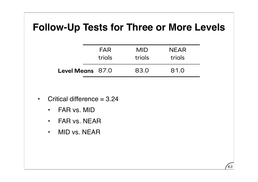|                         | FAR<br>trials | <b>MID</b><br>trials | <b>NEAR</b><br>trials |
|-------------------------|---------------|----------------------|-----------------------|
|                         |               |                      |                       |
| <b>Level Means</b> 87.0 |               | 83.0                 | 81.0                  |

- Critical difference  $= 3.24$ 
	- FAR vs. MID
	- FAR vs. NEAR
	- MID vs. NEAR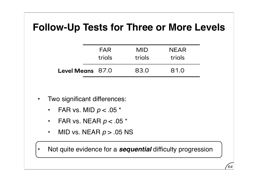|                         | <b>FAR</b> | <b>MID</b> | <b>NEAR</b> |  |
|-------------------------|------------|------------|-------------|--|
|                         | trials     | trials     | trials      |  |
| <b>Level Means</b> 87.0 |            | 83.0       | 81.0        |  |

- Two significant differences:
	- FAR vs. MID *p* < .05 \*
	- FAR vs. NEAR *p* < .05 \*
	- MID vs. NEAR *p* > .05 NS

• Not quite evidence for a *sequential* difficulty progression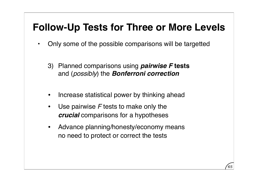- Only some of the possible comparisons will be targetted
	- 3) Planned comparisons using *pairwise F* **tests** and (*possibly*) the *Bonferroni correction*
	- Increase statistical power by thinking ahead
	- Use pairwise *F* tests to make only the *crucial* comparisons for a hypotheses
	- Advance planning/honesty/economy means no need to protect or correct the tests

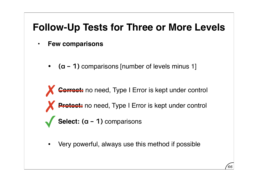- **Few comparisons**
	- **(a 1)** comparisons [number of levels minus 1]

**Correct:** no need, Type I Error is kept under control **Pretect:** no need, Type I Error is kept under control **Select:** (a - 1) comparisons

• Very powerful, always use this method if possible

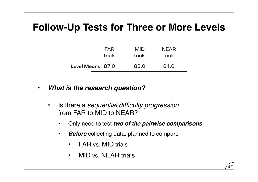|                         | FAR    | <b>MID</b> | <b>NEAR</b> |
|-------------------------|--------|------------|-------------|
|                         | trials | trials     | trials      |
| <b>Level Means</b> 87.0 |        | 83.0       | 81.0        |

- *What is the research question?*
	- Is there a *sequential difficulty progression* from FAR to MID to NEAR?
		- Only need to test *two of the pairwise comparisons*

- *Before* collecting data, planned to compare
	- FAR vs. MID trials
	- MID vs. NEAR trials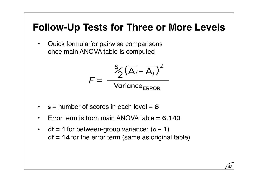• Quick formula for pairwise comparisons once main ANOVA table is computed

$$
F = \frac{S_2(\overline{A}_i - \overline{A}_j)^2}{\text{Variance}_{ERROR}}
$$

- **s =** number of scores in each level **= 8**
- Error term is from main ANOVA table **= 6.143**
- **df = 1** for between-group variance; **(a 1) df = 14** for the error term (same as original table)

*68*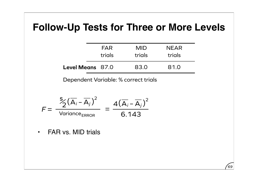|                         | <b>FAR</b> | MID    | <b>NEAR</b> |
|-------------------------|------------|--------|-------------|
|                         | trials     | trials | trials      |
| <b>Level Means</b> 87.0 |            | 83.0   | 81.0        |

*69*

Dependent Variable: % correct trials

$$
F = \frac{\sum_{i=1}^{5} (\overline{A}_{i} - \overline{A}_{j})^{2}}{\text{Variance}_{ERROR}} = \frac{4(\overline{A}_{i} - \overline{A}_{j})^{2}}{6.143}
$$

• FAR vs. MID trials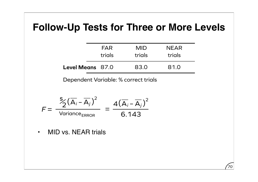|                         | <b>FAR</b> | MID.   | <b>NEAR</b> |
|-------------------------|------------|--------|-------------|
|                         | trials     | trials | trials      |
| <b>Level Means</b> 87.0 |            | 83.0   | 81.0        |

*70*

Dependent Variable: % correct trials

$$
F = \frac{\sum_{i=1}^{5} (\overline{A}_{i} - \overline{A}_{j})^{2}}{\text{Variance}_{ERROR}} = \frac{4(\overline{A}_{i} - \overline{A}_{j})^{2}}{6.143}
$$

• MID vs. NEAR trials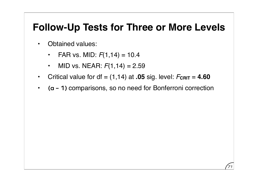- Obtained values:
	- FAR vs. MID:  $F(1, 14) = 10.4$
	- MID vs. NEAR:  $F(1,14) = 2.59$
- Critical value for  $df = (1,14)$  at **.05** sig. level:  $F_{CRIT} = 4.60$
- **(a 1)** comparisons, so no need for Bonferroni correction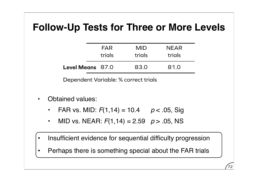|                         | <b>FAR</b> | <b>MID</b> | <b>NEAR</b> |
|-------------------------|------------|------------|-------------|
|                         | trials     | trials     | trials      |
| <b>Level Means</b> 87.0 |            | 83.0       | 81.0        |

Dependent Variable: % correct trials

- Obtained values:
	- FAR vs. MID:  $F(1,14) = 10.4$   $p < .05$ , Sig
	- MID vs. NEAR:  $F(1,14) = 2.59$   $p > .05$ , NS
- Insufficient evidence for sequential difficulty progression
- Perhaps there is something special about the FAR trials